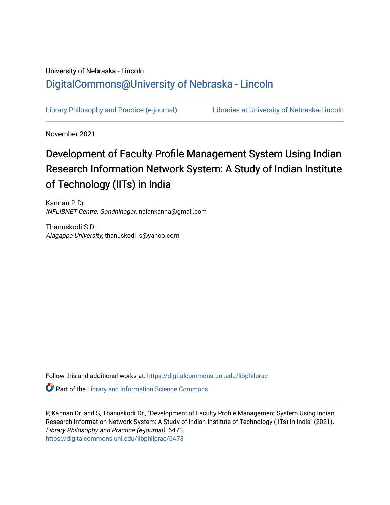# University of Nebraska - Lincoln [DigitalCommons@University of Nebraska - Lincoln](https://digitalcommons.unl.edu/)

[Library Philosophy and Practice \(e-journal\)](https://digitalcommons.unl.edu/libphilprac) [Libraries at University of Nebraska-Lincoln](https://digitalcommons.unl.edu/libraries) 

November 2021

# Development of Faculty Profile Management System Using Indian Research Information Network System: A Study of Indian Institute of Technology (IITs) in India

Kannan P Dr. INFLIBNET Centre, Gandhinagar, nalankanna@gmail.com

Thanuskodi S Dr. Alagappa University, thanuskodi\_s@yahoo.com

Follow this and additional works at: [https://digitalcommons.unl.edu/libphilprac](https://digitalcommons.unl.edu/libphilprac?utm_source=digitalcommons.unl.edu%2Flibphilprac%2F6473&utm_medium=PDF&utm_campaign=PDFCoverPages) 

**Part of the Library and Information Science Commons** 

P, Kannan Dr. and S, Thanuskodi Dr., "Development of Faculty Profile Management System Using Indian Research Information Network System: A Study of Indian Institute of Technology (IITs) in India" (2021). Library Philosophy and Practice (e-journal). 6473. [https://digitalcommons.unl.edu/libphilprac/6473](https://digitalcommons.unl.edu/libphilprac/6473?utm_source=digitalcommons.unl.edu%2Flibphilprac%2F6473&utm_medium=PDF&utm_campaign=PDFCoverPages)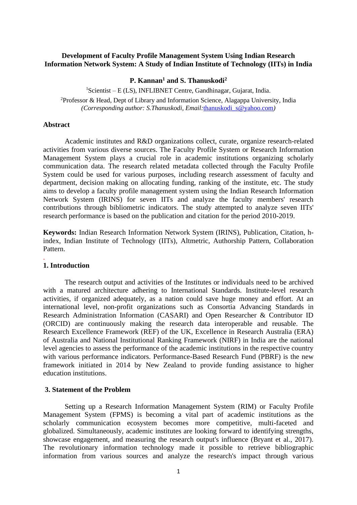# **Development of Faculty Profile Management System Using Indian Research Information Network System: A Study of Indian Institute of Technology (IITs) in India**

**P. Kannan<sup>1</sup> and S. Thanuskodi<sup>2</sup>**

 ${}^{1}$ Scientist – E (LS), INFLIBNET Centre, Gandhinagar, Gujarat, India.

<sup>2</sup>Professor & Head, Dept of Library and Information Science, Alagappa University, India *(Corresponding author: S.Thanuskodi, Email:*[thanuskodi\\_s@yahoo.com](mailto:thanuskodi_s@yahoo.com)*)*

#### **Abstract**

Academic institutes and R&D organizations collect, curate, organize research-related activities from various diverse sources. The Faculty Profile System or Research Information Management System plays a crucial role in academic institutions organizing scholarly communication data. The research related metadata collected through the Faculty Profile System could be used for various purposes, including research assessment of faculty and department, decision making on allocating funding, ranking of the institute, etc. The study aims to develop a faculty profile management system using the Indian Research Information Network System (IRINS) for seven IITs and analyze the faculty members' research contributions through bibliometric indicators. The study attempted to analyze seven IITs' research performance is based on the publication and citation for the period 2010-2019.

**Keywords:** Indian Research Information Network System (IRINS), Publication, Citation, hindex, Indian Institute of Technology (IITs), Altmetric, Authorship Pattern, Collaboration Pattern.

#### **1. Introduction**

.

The research output and activities of the Institutes or individuals need to be archived with a matured architecture adhering to International Standards. Institute-level research activities, if organized adequately, as a nation could save huge money and effort. At an international level, non-profit organizations such as Consortia Advancing Standards in Research Administration Information (CASARI) and Open Researcher & Contributor ID (ORCID) are continuously making the research data interoperable and reusable. The Research Excellence Framework (REF) of the UK, Excellence in Research Australia (ERA) of Australia and National Institutional Ranking Framework (NIRF) in India are the national level agencies to assess the performance of the academic institutions in the respective country with various performance indicators. Performance-Based Research Fund (PBRF) is the new framework initiated in 2014 by New Zealand to provide funding assistance to higher education institutions.

#### **3. Statement of the Problem**

Setting up a Research Information Management System (RIM) or Faculty Profile Management System (FPMS) is becoming a vital part of academic institutions as the scholarly communication ecosystem becomes more competitive, multi-faceted and globalized. Simultaneously, academic institutes are looking forward to identifying strengths, showcase engagement, and measuring the research output's influence (Bryant et al., 2017). The revolutionary information technology made it possible to retrieve bibliographic information from various sources and analyze the research's impact through various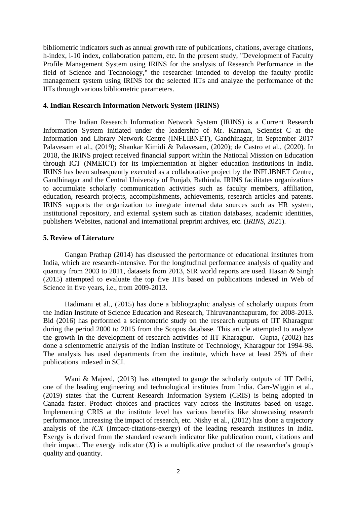bibliometric indicators such as annual growth rate of publications, citations, average citations, h-index, i-10 index, collaboration pattern, etc. In the present study, "Development of Faculty Profile Management System using IRINS for the analysis of Research Performance in the field of Science and Technology," the researcher intended to develop the faculty profile management system using IRINS for the selected IITs and analyze the performance of the IITs through various bibliometric parameters.

#### **4. Indian Research Information Network System (IRINS)**

The Indian Research Information Network System (IRINS) is a Current Research Information System initiated under the leadership of Mr. Kannan, Scientist C at the Information and Library Network Centre (INFLIBNET), Gandhinagar, in September 2017 Palavesam et al., (2019); Shankar Kimidi & Palavesam, (2020); de Castro et al., (2020). In 2018, the IRINS project received financial support within the National Mission on Education through ICT (NMEICT) for its implementation at higher education institutions in India. IRINS has been subsequently executed as a collaborative project by the INFLIBNET Centre, Gandhinagar and the Central University of Punjab, Bathinda. IRINS facilitates organizations to accumulate scholarly communication activities such as faculty members, affiliation, education, research projects, accomplishments, achievements, research articles and patents. IRINS supports the organization to integrate internal data sources such as HR system, institutional repository, and external system such as citation databases, academic identities, publishers Websites, national and international preprint archives, etc. (*IRINS*, 2021).

#### **5. Review of Literature**

Gangan Prathap (2014) has discussed the performance of educational institutes from India, which are research-intensive. For the longitudinal performance analysis of quality and quantity from 2003 to 2011, datasets from 2013, SIR world reports are used. Hasan & Singh (2015) attempted to evaluate the top five IITs based on publications indexed in Web of Science in five years, i.e., from 2009-2013.

Hadimani et al., (2015) has done a bibliographic analysis of scholarly outputs from the Indian Institute of Science Education and Research, Thiruvananthapuram, for 2008-2013. Bid (2016) has performed a scientometric study on the research outputs of IIT Kharagpur during the period 2000 to 2015 from the Scopus database. This article attempted to analyze the growth in the development of research activities of IIT Kharagpur. Gupta, (2002) has done a scientometric analysis of the Indian Institute of Technology, Kharagpur for 1994-98. The analysis has used departments from the institute, which have at least 25% of their publications indexed in SCI.

Wani & Majeed, (2013) has attempted to gauge the scholarly outputs of IIT Delhi, one of the leading engineering and technological institutes from India. Carr-Wiggin et al., (2019) states that the Current Research Information System (CRIS) is being adopted in Canada faster. Product choices and practices vary across the institutes based on usage. Implementing CRIS at the institute level has various benefits like showcasing research performance, increasing the impact of research, etc. Nishy et al., (2012) has done a trajectory analysis of the *iCX* (Impact-citations-exergy) of the leading research institutes in India. Exergy is derived from the standard research indicator like publication count, citations and their impact. The exergy indicator  $(X)$  is a multiplicative product of the researcher's group's quality and quantity.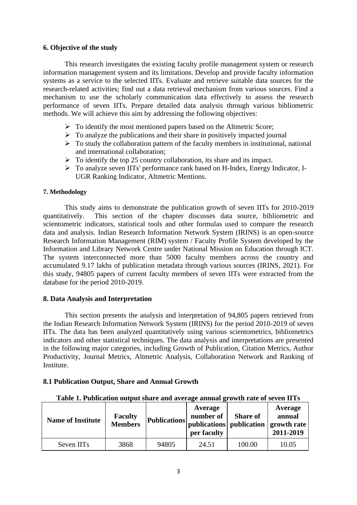# **6. Objective of the study**

This research investigates the existing faculty profile management system or research information management system and its limitations. Develop and provide faculty information systems as a service to the selected IITs. Evaluate and retrieve suitable data sources for the research-related activities; find out a data retrieval mechanism from various sources. Find a mechanism to use the scholarly communication data effectively to assess the research performance of seven IITs. Prepare detailed data analysis through various bibliometric methods. We will achieve this aim by addressing the following objectives:

- ➢ To identify the most mentioned papers based on the Altmetric Score;
- $\triangleright$  To analyze the publications and their share in positively impacted journal
- $\triangleright$  To study the collaboration pattern of the faculty members in institutional, national and international collaboration;
- $\triangleright$  To identify the top 25 country collaboration, its share and its impact.
- ➢ To analyze seven IITs' performance rank based on H-Index, Energy Indicator, I-UGR Ranking Indicator, Altmetric Mentions.

# **7. Methodology**

This study aims to demonstrate the publication growth of seven IITs for 2010-2019 quantitatively. This section of the chapter discusses data source, bibliometric and scientometric indicators, statistical tools and other formulas used to compare the research data and analysis. Indian Research Information Network System (IRINS) is an open-source Research Information Management (RIM) system / Faculty Profile System developed by the Information and Library Network Centre under National Mission on Education through ICT. The system interconnected more than 5000 faculty members across the country and accumulated 9.17 lakhs of publication metadata through various sources (IRINS, 2021). For this study, 94805 papers of current faculty members of seven IITs were extracted from the database for the period 2010-2019.

# **8. Data Analysis and Interpretation**

This section presents the analysis and interpretation of 94,805 papers retrieved from the Indian Research Information Network System (IRINS) for the period 2010-2019 of seven IITs. The data has been analyzed quantitatively using various scientometrics, bibliometrics indicators and other statistical techniques. The data analysis and interpretations are presented in the following major categories, including Growth of Publication, Citation Metrics, Author Productivity, Journal Metrics, Altmetric Analysis, Collaboration Network and Ranking of Institute.

# **8.1 Publication Output, Share and Annual Growth**

| Table 1. Publication output share and average annual growth rate of seven IITs |  |  |  |
|--------------------------------------------------------------------------------|--|--|--|
|                                                                                |  |  |  |

| <b>Name of Institute</b> | <b>Faculty</b><br><b>Members</b> | <b>Publications</b> | Average<br>number of<br>per faculty | <b>Share of</b> | Average<br>annual<br>  publications   publication   growth rate  <br>2011-2019 |
|--------------------------|----------------------------------|---------------------|-------------------------------------|-----------------|--------------------------------------------------------------------------------|
| Seven IIT <sub>s</sub>   | 3868                             | 94805               | 24.51                               | 100.00          | 10.05                                                                          |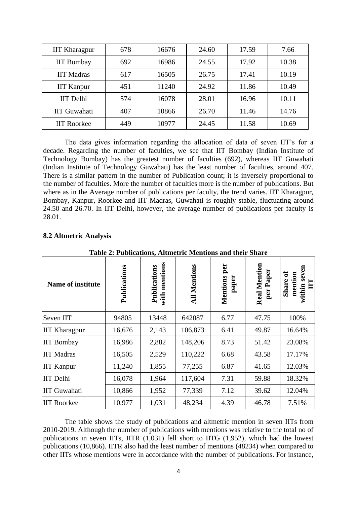| <b>IIT Kharagpur</b> | 678 | 16676 | 24.60 | 17.59 | 7.66  |
|----------------------|-----|-------|-------|-------|-------|
| <b>IIT Bombay</b>    | 692 | 16986 | 24.55 | 17.92 | 10.38 |
| <b>IIT Madras</b>    | 617 | 16505 | 26.75 | 17.41 | 10.19 |
| <b>IIT Kanpur</b>    | 451 | 11240 | 24.92 | 11.86 | 10.49 |
| <b>IIT</b> Delhi     | 574 | 16078 | 28.01 | 16.96 | 10.11 |
| <b>IIT</b> Guwahati  | 407 | 10866 | 26.70 | 11.46 | 14.76 |
| <b>IIT Roorkee</b>   | 449 | 10977 | 24.45 | 11.58 | 10.69 |

The data gives information regarding the allocation of data of seven IIT's for a decade. Regarding the number of faculties, we see that IIT Bombay (Indian Institute of Technology Bombay) has the greatest number of faculties (692), whereas IIT Guwahati (Indian Institute of Technology Guwahati) has the least number of faculties, around 407. There is a similar pattern in the number of Publication count; it is inversely proportional to the number of faculties. More the number of faculties more is the number of publications. But where as in the Average number of publications per faculty, the trend varies. IIT Kharagpur, Bombay, Kanpur, Roorkee and IIT Madras, Guwahati is roughly stable, fluctuating around 24.50 and 26.70. In IIT Delhi, however, the average number of publications per faculty is 28.01.

| Table 2: Publications, Altmetric Mentions and their Share |              |                               |                     |                          |                           |                                                          |  |  |
|-----------------------------------------------------------|--------------|-------------------------------|---------------------|--------------------------|---------------------------|----------------------------------------------------------|--|--|
| Name of institute                                         | Publications | with mentions<br>Publications | <b>All Mentions</b> | per<br>Mentions<br>paper | Real Mention<br>per Paper | seven<br>ð<br>mention<br>Share<br>$\mathbf{H}$<br>within |  |  |
| Seven IIT                                                 | 94805        | 13448                         | 642087              | 6.77                     | 47.75                     | 100%                                                     |  |  |
| <b>IIT Kharagpur</b>                                      | 16,676       | 2,143                         | 106,873             | 6.41                     | 49.87                     | 16.64%                                                   |  |  |
| <b>IIT Bombay</b>                                         | 16,986       | 2,882                         | 148,206             | 8.73                     | 51.42                     | 23.08%                                                   |  |  |
| <b>IIT Madras</b>                                         | 16,505       | 2,529                         | 110,222             | 6.68                     | 43.58                     | 17.17%                                                   |  |  |
| <b>IIT Kanpur</b>                                         | 11,240       | 1,855                         | 77,255              | 6.87                     | 41.65                     | 12.03%                                                   |  |  |
| <b>IIT</b> Delhi                                          | 16,078       | 1,964                         | 117,604             | 7.31                     | 59.88                     | 18.32%                                                   |  |  |
| <b>IIT Guwahati</b>                                       | 10,866       | 1,952                         | 77,339              | 7.12                     | 39.62                     | 12.04%                                                   |  |  |
| <b>IIT Roorkee</b>                                        | 10,977       | 1,031                         | 48,234              | 4.39                     | 46.78                     | 7.51%                                                    |  |  |

#### **8.2 Altmetric Analysis**

**Table 2: Publications, Altmetric Mentions and their Share**

The table shows the study of publications and altmetric mention in seven IITs from 2010-2019. Although the number of publications with mentions was relative to the total no of publications in seven IITs, IITR (1,031) fell short to IITG (1,952), which had the lowest publications (10,866). IITR also had the least number of mentions (48234) when compared to other IITs whose mentions were in accordance with the number of publications. For instance,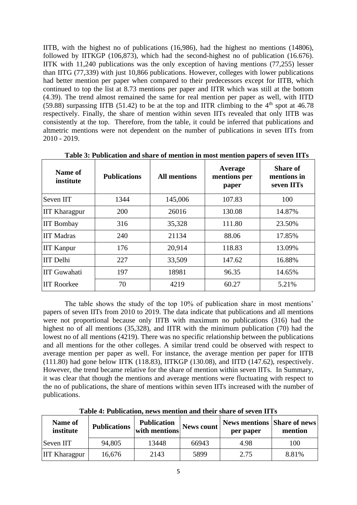IITB, with the highest no of publications (16,986), had the highest no mentions (14806), followed by IITKGP (106,873), which had the second-highest no of publication (16.676). IITK with 11,240 publications was the only exception of having mentions (77,255) lesser than IITG (77,339) with just 10,866 publications. However, colleges with lower publications had better mention per paper when compared to their predecessors except for IITB, which continued to top the list at 8.73 mentions per paper and IITR which was still at the bottom (4.39). The trend almost remained the same for real mention per paper as well, with IITD (59.88) surpassing IITB (51.42) to be at the top and IITR climbing to the  $4<sup>th</sup>$  spot at 46.78 respectively. Finally, the share of mention within seven IITs revealed that only IITB was consistently at the top. Therefore, from the table, it could be inferred that publications and altmetric mentions were not dependent on the number of publications in seven IITs from 2010 - 2019.

| Name of<br>institute | <b>Publications</b> | <b>All mentions</b> | Average<br>mentions per<br>paper | <b>Share of</b><br>mentions in<br>seven IITs |
|----------------------|---------------------|---------------------|----------------------------------|----------------------------------------------|
| Seven IIT            | 1344                | 145,006             | 107.83                           | 100                                          |
| <b>IIT Kharagpur</b> | 200                 | 26016               | 130.08                           | 14.87%                                       |
| <b>IIT Bombay</b>    | 316                 | 35,328              | 111.80                           | 23.50%                                       |
| <b>IIT Madras</b>    | 240                 | 21134               | 88.06                            | 17.85%                                       |
| <b>IIT Kanpur</b>    | 176                 | 20,914              | 118.83                           | 13.09%                                       |
| <b>IIT</b> Delhi     | 227                 | 33,509              | 147.62                           | 16.88%                                       |
| <b>IIT</b> Guwahati  | 197                 | 18981               | 96.35                            | 14.65%                                       |
| <b>IIT Roorkee</b>   | 70                  | 4219                | 60.27                            | 5.21%                                        |

**Table 3: Publication and share of mention in most mention papers of seven IITs** 

The table shows the study of the top 10% of publication share in most mentions' papers of seven IITs from 2010 to 2019. The data indicate that publications and all mentions were not proportional because only IITB with maximum no publications (316) had the highest no of all mentions (35,328), and IITR with the minimum publication (70) had the lowest no of all mentions (4219). There was no specific relationship between the publications and all mentions for the other colleges. A similar trend could be observed with respect to average mention per paper as well. For instance, the average mention per paper for IITB (111.80) had gone below IITK (118.83), IITKGP (130.08), and IITD (147.62), respectively. However, the trend became relative for the share of mention within seven IITs. In Summary, it was clear that though the mentions and average mentions were fluctuating with respect to the no of publications, the share of mentions within seven IITs increased with the number of publications.

| <b>Name of</b><br>institute | <b>Publications</b> | <b>Publication</b><br>with mentions | <b>News count</b> | <b>News mentions Share of news</b><br>per paper | mention |
|-----------------------------|---------------------|-------------------------------------|-------------------|-------------------------------------------------|---------|
| Seven IIT                   | 94,805              | 13448                               | 66943             | 4.98                                            | 100     |
| <b>IIT Kharagpur</b>        | 16,676              | 2143                                | 5899              | 2.75                                            | 8.81%   |

**Table 4: Publication, news mention and their share of seven IITs**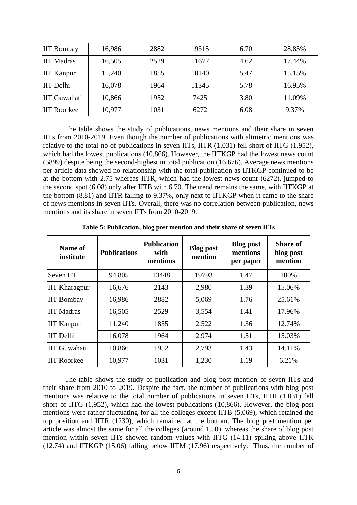| <b>IIT Bombay</b>   | 16,986 | 2882 | 19315 | 6.70 | 28.85% |
|---------------------|--------|------|-------|------|--------|
| <b>IIT Madras</b>   | 16,505 | 2529 | 11677 | 4.62 | 17.44% |
| <b>IIT Kanpur</b>   | 11,240 | 1855 | 10140 | 5.47 | 15.15% |
| <b>IIT</b> Delhi    | 16,078 | 1964 | 11345 | 5.78 | 16.95% |
| <b>IIT Guwahati</b> | 10,866 | 1952 | 7425  | 3.80 | 11.09% |
| <b>IIT Roorkee</b>  | 10,977 | 1031 | 6272  | 6.08 | 9.37%  |

The table shows the study of publications, news mentions and their share in seven IITs from 2010-2019. Even though the number of publications with altmetric mentions was relative to the total no of publications in seven IITs, IITR (1,031) fell short of IITG (1,952), which had the lowest publications (10,866). However, the IITKGP had the lowest news count (5899) despite being the second-highest in total publication (16,676). Average news mentions per article data showed no relationship with the total publication as IITKGP continued to be at the bottom with 2.75 whereas IITR, which had the lowest news count (6272), jumped to the second spot (6.08) only after IITB with 6.70. The trend remains the same, with IITKGP at the bottom (8.81) and IITR falling to 9.37%, only next to IITKGP when it came to the share of news mentions in seven IITs. Overall, there was no correlation between publication, news mentions and its share in seven IITs from 2010-2019.

| Name of<br>institute | <b>Publications</b> | <b>Publication</b><br>with<br>mentions | <b>Blog post</b><br>mention | <b>Blog post</b><br>mentions<br>per paper | <b>Share of</b><br>blog post<br>mention |
|----------------------|---------------------|----------------------------------------|-----------------------------|-------------------------------------------|-----------------------------------------|
| Seven IIT            | 94,805              | 13448                                  | 19793                       | 1.47                                      | 100%                                    |
| <b>IIT Kharagpur</b> | 16,676              | 2143                                   | 2,980                       | 1.39                                      | 15.06%                                  |
| <b>IIT</b> Bombay    | 16,986              | 2882                                   | 5,069                       | 1.76                                      | 25.61%                                  |
| <b>IIT Madras</b>    | 16,505              | 2529                                   | 3,554                       | 1.41                                      | 17.96%                                  |
| <b>IIT Kanpur</b>    | 11,240              | 1855                                   | 2,522                       | 1.36                                      | 12.74%                                  |
| <b>IIT</b> Delhi     | 16,078              | 1964                                   | 2,974                       | 1.51                                      | 15.03%                                  |
| <b>IIT</b> Guwahati  | 10,866              | 1952                                   | 2,793                       | 1.43                                      | 14.11%                                  |
| <b>IIT Roorkee</b>   | 10,977              | 1031                                   | 1,230                       | 1.19                                      | 6.21%                                   |

**Table 5: Publication, blog post mention and their share of seven IITs**

The table shows the study of publication and blog post mention of seven IITs and their share from 2010 to 2019. Despite the fact, the number of publications with blog post mentions was relative to the total number of publications in seven IITs, IITR (1,031) fell short of IITG (1,952), which had the lowest publications (10,866). However, the blog post mentions were rather fluctuating for all the colleges except IITB (5,069), which retained the top position and IITR (1230), which remained at the bottom. The blog post mention per article was almost the same for all the colleges (around 1.50), whereas the share of blog post mention within seven IITs showed random values with IITG (14.11) spiking above IITK (12.74) and IITKGP (15.06) falling below IITM (17.96) respectively. Thus, the number of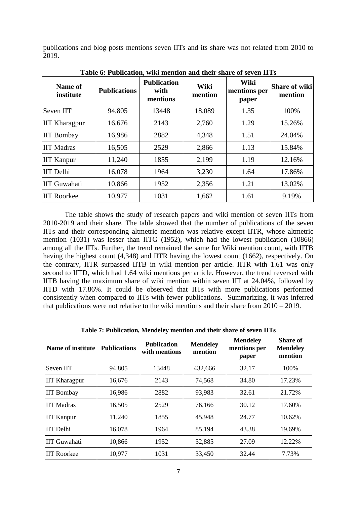publications and blog posts mentions seven IITs and its share was not related from 2010 to 2019.

| Name of<br>institute | <b>Publications</b> | <b>Publication</b><br>with<br>mentions | Wiki<br>mention | Wiki<br>mentions per<br>paper | <b>Share of wiki</b><br>mention |
|----------------------|---------------------|----------------------------------------|-----------------|-------------------------------|---------------------------------|
| Seven IIT            | 94,805              | 13448                                  | 18,089          | 1.35                          | 100%                            |
| <b>IIT Kharagpur</b> | 16,676              | 2143                                   | 2,760           | 1.29                          | 15.26%                          |
| <b>IIT Bombay</b>    | 16,986              | 2882                                   | 4,348           | 1.51                          | 24.04%                          |
| <b>IIT Madras</b>    | 16,505              | 2529                                   | 2,866           | 1.13                          | 15.84%                          |
| <b>IIT Kanpur</b>    | 11,240              | 1855                                   | 2,199           | 1.19                          | 12.16%                          |
| <b>IIT</b> Delhi     | 16,078              | 1964                                   | 3,230           | 1.64                          | 17.86%                          |
| <b>IIT Guwahati</b>  | 10,866              | 1952                                   | 2,356           | 1.21                          | 13.02%                          |
| <b>IIT Roorkee</b>   | 10,977              | 1031                                   | 1,662           | 1.61                          | 9.19%                           |

**Table 6: Publication, wiki mention and their share of seven IITs** 

The table shows the study of research papers and wiki mention of seven IITs from 2010-2019 and their share. The table showed that the number of publications of the seven IITs and their corresponding altmetric mention was relative except IITR, whose altmetric mention (1031) was lesser than IITG (1952), which had the lowest publication (10866) among all the IITs. Further, the trend remained the same for Wiki mention count, with IITB having the highest count (4,348) and IITR having the lowest count (1662), respectively. On the contrary, IITR surpassed IITB in wiki mention per article. IITR with 1.61 was only second to IITD, which had 1.64 wiki mentions per article. However, the trend reversed with IITB having the maximum share of wiki mention within seven IIT at 24.04%, followed by IITD with 17.86%. It could be observed that IITs with more publications performed consistently when compared to IITs with fewer publications. Summarizing, it was inferred that publications were not relative to the wiki mentions and their share from  $2010 - 2019$ .

| Table 7: I abheathol, bichucley mention and their bilare of beyen fills |                     |                                     |                            |                                          |                                               |
|-------------------------------------------------------------------------|---------------------|-------------------------------------|----------------------------|------------------------------------------|-----------------------------------------------|
| Name of institute                                                       | <b>Publications</b> | <b>Publication</b><br>with mentions | <b>Mendeley</b><br>mention | <b>Mendeley</b><br>mentions per<br>paper | <b>Share of</b><br><b>Mendeley</b><br>mention |
| Seven IIT                                                               | 94,805              | 13448                               | 432,666                    | 32.17                                    | 100%                                          |
| <b>IIT Kharagpur</b>                                                    | 16,676              | 2143                                | 74,568                     | 34.80                                    | 17.23%                                        |
| <b>IIT Bombay</b>                                                       | 16,986              | 2882                                | 93,983                     | 32.61                                    | 21.72%                                        |
| <b>IIT Madras</b>                                                       | 16,505              | 2529                                | 76,166                     | 30.12                                    | 17.60%                                        |
| <b>IIT Kanpur</b>                                                       | 11,240              | 1855                                | 45,948                     | 24.77                                    | 10.62%                                        |
| <b>IIT</b> Delhi                                                        | 16,078              | 1964                                | 85,194                     | 43.38                                    | 19.69%                                        |
| <b>IIT Guwahati</b>                                                     | 10,866              | 1952                                | 52,885                     | 27.09                                    | 12.22%                                        |
| <b>IIT Roorkee</b>                                                      | 10,977              | 1031                                | 33,450                     | 32.44                                    | 7.73%                                         |

**Table 7: Publication, Mendeley mention and their share of seven IITs**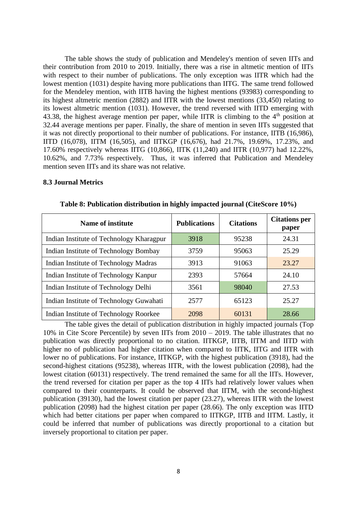The table shows the study of publication and Mendeley's mention of seven IITs and their contribution from 2010 to 2019. Initially, there was a rise in altmetic mention of IITs with respect to their number of publications. The only exception was IITR which had the lowest mention (1031) despite having more publications than IITG. The same trend followed for the Mendeley mention, with IITB having the highest mentions (93983) corresponding to its highest altmetric mention (2882) and IITR with the lowest mentions (33,450) relating to its lowest altmetric mention (1031). However, the trend reversed with IITD emerging with 43.38, the highest average mention per paper, while IITR is climbing to the  $4<sup>th</sup>$  position at 32.44 average mentions per paper. Finally, the share of mention in seven IITs suggested that it was not directly proportional to their number of publications. For instance, IITB (16,986), IITD (16,078), IITM (16,505), and IITKGP (16,676), had 21.7%, 19.69%, 17.23%, and 17.60% respectively whereas IITG (10,866), IITK (11,240) and IITR (10,977) had 12.22%, 10.62%, and 7.73% respectively. Thus, it was inferred that Publication and Mendeley mention seven IITs and its share was not relative.

#### **8.3 Journal Metrics**

| <b>Name of institute</b>                 | <b>Publications</b> | <b>Citations</b> | <b>Citations per</b><br>paper |
|------------------------------------------|---------------------|------------------|-------------------------------|
| Indian Institute of Technology Kharagpur | 3918                | 95238            | 24.31                         |
| Indian Institute of Technology Bombay    | 3759                | 95063            | 25.29                         |
| Indian Institute of Technology Madras    | 3913                | 91063            | 23.27                         |
| Indian Institute of Technology Kanpur    | 2393                | 57664            | 24.10                         |
| Indian Institute of Technology Delhi     | 3561                | 98040            | 27.53                         |
| Indian Institute of Technology Guwahati  | 2577                | 65123            | 25.27                         |
| Indian Institute of Technology Roorkee   | 2098                | 60131            | 28.66                         |

**Table 8: Publication distribution in highly impacted journal (CiteScore 10%)** 

The table gives the detail of publication distribution in highly impacted journals (Top 10% in Cite Score Percentile) by seven IITs from 2010 – 2019. The table illustrates that no publication was directly proportional to no citation. IITKGP, IITB, IITM and IITD with higher no of publication had higher citation when compared to IITK, IITG and IITR with lower no of publications. For instance, IITKGP, with the highest publication (3918), had the second-highest citations (95238), whereas IITR, with the lowest publication (2098), had the lowest citation (60131) respectively. The trend remained the same for all the IITs. However, the trend reversed for citation per paper as the top 4 IITs had relatively lower values when compared to their counterparts. It could be observed that IITM, with the second-highest publication (39130), had the lowest citation per paper (23.27), whereas IITR with the lowest publication (2098) had the highest citation per paper (28.66). The only exception was IITD which had better citations per paper when compared to IITKGP, IITB and IITM. Lastly, it could be inferred that number of publications was directly proportional to a citation but inversely proportional to citation per paper.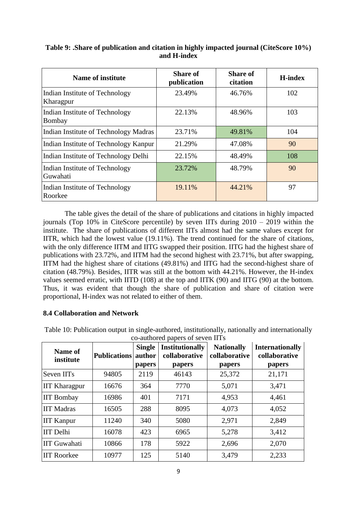| Name of institute                           | <b>Share of</b><br>publication | <b>Share of</b><br>citation | <b>H-index</b> |
|---------------------------------------------|--------------------------------|-----------------------------|----------------|
| Indian Institute of Technology<br>Kharagpur | 23.49%                         | 46.76%                      | 102            |
| Indian Institute of Technology<br>Bombay    | 22.13%                         | 48.96%                      | 103            |
| Indian Institute of Technology Madras       | 23.71%                         | 49.81%                      | 104            |
| Indian Institute of Technology Kanpur       | 21.29%                         | 47.08%                      | 90             |
| Indian Institute of Technology Delhi        | 22.15%                         | 48.49%                      | 108            |
| Indian Institute of Technology<br>Guwahati  | 23.72%                         | 48.79%                      | 90             |
| Indian Institute of Technology<br>Roorkee   | 19.11%                         | 44.21%                      | 97             |

# **Table 9: .Share of publication and citation in highly impacted journal (CiteScore 10%) and H-index**

The table gives the detail of the share of publications and citations in highly impacted journals (Top  $10\%$  in CiteScore percentile) by seven IITs during  $2010 - 2019$  within the institute. The share of publications of different IITs almost had the same values except for IITR, which had the lowest value (19.11%). The trend continued for the share of citations, with the only difference IITM and IITG swapped their position. IITG had the highest share of publications with 23.72%, and IITM had the second highest with 23.71%, but after swapping, IITM had the highest share of citations (49.81%) and IITG had the second-highest share of citation (48.79%). Besides, IITR was still at the bottom with 44.21%. However, the H-index values seemed erratic, with IITD (108) at the top and IITK (90) and IITG (90) at the bottom. Thus, it was evident that though the share of publication and share of citation were proportional, H-index was not related to either of them.

# **8.4 Collaboration and Network**

Table 10: Publication output in single-authored, institutionally, nationally and internationally co-authored papers of seven IITs

| Name of<br>institute | <b>Publications</b> | <b>Single</b><br>author | <b>Institutionally</b><br>collaborative | <b>Nationally</b><br>collaborative | <b>Internationally</b><br>collaborative |
|----------------------|---------------------|-------------------------|-----------------------------------------|------------------------------------|-----------------------------------------|
|                      |                     | <i>papers</i>           | papers                                  | papers                             | papers                                  |
| Seven IITs           | 94805               | 2119                    | 46143                                   | 25,372                             | 21,171                                  |
| <b>IIT Kharagpur</b> | 16676               | 364                     | 7770                                    | 5,071                              | 3,471                                   |
| <b>IIT Bombay</b>    | 16986               | 401                     | 7171                                    | 4,953                              | 4,461                                   |
| <b>IIT Madras</b>    | 16505               | 288                     | 8095                                    | 4,073                              | 4,052                                   |
| <b>IIT Kanpur</b>    | 11240               | 340                     | 5080                                    | 2,971                              | 2,849                                   |
| <b>IIT</b> Delhi     | 16078               | 423                     | 6965                                    | 5,278                              | 3,412                                   |
| <b>IIT Guwahati</b>  | 10866               | 178                     | 5922                                    | 2,696                              | 2,070                                   |
| <b>IIT Roorkee</b>   | 10977               | 125                     | 5140                                    | 3,479                              | 2,233                                   |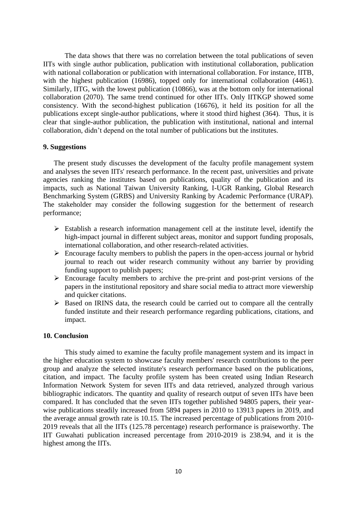The data shows that there was no correlation between the total publications of seven IITs with single author publication, publication with institutional collaboration, publication with national collaboration or publication with international collaboration. For instance, IITB, with the highest publication (16986), topped only for international collaboration (4461). Similarly, IITG, with the lowest publication (10866), was at the bottom only for international collaboration (2070). The same trend continued for other IITs. Only IITKGP showed some consistency. With the second-highest publication (16676), it held its position for all the publications except single-author publications, where it stood third highest (364). Thus, it is clear that single-author publication, the publication with institutional, national and internal collaboration, didn't depend on the total number of publications but the institutes.

#### **9. Suggestions**

The present study discusses the development of the faculty profile management system and analyses the seven IITs' research performance. In the recent past, universities and private agencies ranking the institutes based on publications, quality of the publication and its impacts, such as National Taiwan University Ranking, I-UGR Ranking, Global Research Benchmarking System (GRBS) and University Ranking by Academic Performance (URAP). The stakeholder may consider the following suggestion for the betterment of research performance;

- $\triangleright$  Establish a research information management cell at the institute level, identify the high-impact journal in different subject areas, monitor and support funding proposals, international collaboration, and other research-related activities.
- $\triangleright$  Encourage faculty members to publish the papers in the open-access journal or hybrid journal to reach out wider research community without any barrier by providing funding support to publish papers;
- ➢ Encourage faculty members to archive the pre-print and post-print versions of the papers in the institutional repository and share social media to attract more viewership and quicker citations.
- ➢ Based on IRINS data, the research could be carried out to compare all the centrally funded institute and their research performance regarding publications, citations, and impact.

# **10. Conclusion**

This study aimed to examine the faculty profile management system and its impact in the higher education system to showcase faculty members' research contributions to the peer group and analyze the selected institute's research performance based on the publications, citation, and impact. The faculty profile system has been created using Indian Research Information Network System for seven IITs and data retrieved, analyzed through various bibliographic indicators. The quantity and quality of research output of seven IITs have been compared. It has concluded that the seven IITs together published 94805 papers, their yearwise publications steadily increased from 5894 papers in 2010 to 13913 papers in 2019, and the average annual growth rate is 10.15. The increased percentage of publications from 2010- 2019 reveals that all the IITs (125.78 percentage) research performance is praiseworthy. The IIT Guwahati publication increased percentage from 2010-2019 is 238.94, and it is the highest among the IITs.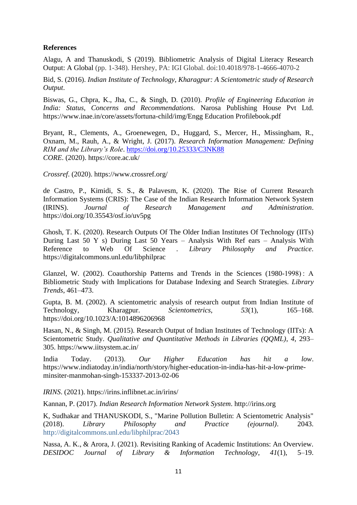# **References**

Alagu, A and Thanuskodi, S (2019). Bibliometric Analysis of Digital Literacy Research Output: A Global (pp. 1-348). Hershey, PA: IGI Global. doi:10.4018/978-1-4666-4070-2

Bid, S. (2016). *Indian Institute of Technology, Kharagpur: A Scientometric study of Research Output*.

Biswas, G., Chpra, K., Jha, C., & Singh, D. (2010). *Profile of Engineering Education in India: Status, Concerns and Recommendations*. Narosa Publishing House Pvt Ltd. https://www.inae.in/core/assets/fortuna-child/img/Engg Education Profilebook.pdf

Bryant, R., Clements, A., Groenewegen, D., Huggard, S., Mercer, H., Missingham, R., Oxnam, M., Rauh, A., & Wright, J. (2017). *Research Information Management: Defining RIM and the Library's Role*.<https://doi.org/10.25333/C3NK88> *CORE*. (2020). https://core.ac.uk/

*Crossref*. (2020). https://www.crossref.org/

de Castro, P., Kimidi, S. S., & Palavesm, K. (2020). The Rise of Current Research Information Systems (CRIS): The Case of the Indian Research Information Network System (IRINS). *Journal of Research Management and Administration*. https://doi.org/10.35543/osf.io/uv5pg

Ghosh, T. K. (2020). Research Outputs Of The Older Indian Institutes Of Technology (IITs) During Last 50 Y s) During Last 50 Years – Analysis With Ref ears – Analysis With Reference to Web Of Science . *Library Philosophy and Practice*. https://digitalcommons.unl.edu/libphilprac

Glanzel, W. (2002). Coauthorship Patterns and Trends in the Sciences (1980-1998) : A Bibliometric Study with Implications for Database Indexing and Search Strategies. *Library Trends*, 461–473.

Gupta, B. M. (2002). A scientometric analysis of research output from Indian Institute of Technology, Kharagpur. *Scientometrics*, *53*(1), 165–168. https://doi.org/10.1023/A:1014896206968

Hasan, N., & Singh, M. (2015). Research Output of Indian Institutes of Technology (IITs): A Scientometric Study. *Qualitative and Quantitative Methods in Libraries (QQML)*, *4*, 293– 305. https://www.iitsystem.ac.in/

India Today. (2013). *Our Higher Education has hit a low*. https://www.indiatoday.in/india/north/story/higher-education-in-india-has-hit-a-low-primeminsiter-manmohan-singh-153337-2013-02-06

*IRINS*. (2021). https://irins.inflibnet.ac.in/irins/

Kannan, P. (2017). *Indian Research Information Network System*. http://irins.org

K, Sudhakar and THANUSKODI, S., "Marine Pollution Bulletin: A Scientometric Analysis" (2018). *Library Philosophy and Practice (ejournal)*. 2043. http://digitalcommons.unl.edu/libphilprac/2043

Nassa, A. K., & Arora, J. (2021). Revisiting Ranking of Academic Institutions: An Overview. *DESIDOC Journal of Library & Information Technology*, *41*(1), 5–19.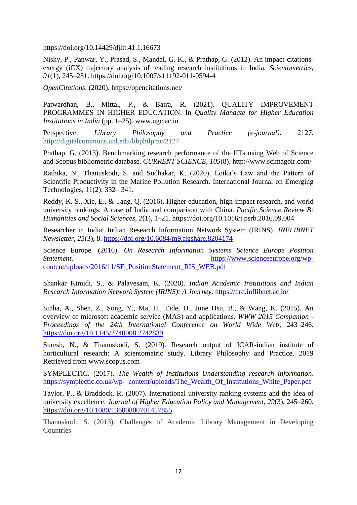https://doi.org/10.14429/djlit.41.1.16673

Nishy, P., Panwar, Y., Prasad, S., Mandal, G. K., & Prathap, G. (2012). An impact-citationsexergy (iCX) trajectory analysis of leading research institutions in India. *Scientometrics*, *91*(1), 245–251. https://doi.org/10.1007/s11192-011-0594-4

*OpenCitations*. (2020). https://opencitations.net/

Patwardhan, B., Mittal, P., & Batra, R. (2021). QUALITY IMPROVEMENT PROGRAMMES IN HIGHER EDUCATION. In *Quality Mandate for Higher Education Institutions in India* (pp. 1–25). www.ugc.ac.in

Perspective. *Library Philosophy and Practice (e-journal)*. 2127. http://digitalcommons.unl.edu/libphilprac/2127

Prathap, G. (2013). Benchmarking research performance of the IITs using Web of Science and Scopus bibliometric database. *CURRENT SCIENCE*, *105*(8). http://www.scimagoir.com/

Rathika, N., Thanuskodi, S. and Sudhakar, K. (2020). Lotka's Law and the Pattern of Scientific Productivity in the Marine Pollution Research. International Journal on Emerging Technologies, 11(2): 332– 341.

Reddy, K. S., Xie, E., & Tang, Q. (2016). Higher education, high-impact research, and world university rankings: A case of India and comparison with China. *Pacific Science Review B: Humanities and Social Sciences*, *2*(1), 1–21. https://doi.org/10.1016/j.psrb.2016.09.004

Researcher in India: Indian Research Information Network System (IRINS). *INFLIBNET Newsletter*, *25*(3), 8.<https://doi.org/10.6084/m9.figshare.8204174>

Science Europe. (2016). *On Research Information Systems Science Europe Position Statement*. [https://www.scienceeurope.org/wp](https://www.scienceeurope.org/wp-%20content/uploads/2016/11/SE_PositionStatement_RIS_WEB.pdf)[content/uploads/2016/11/SE\\_PositionStatement\\_RIS\\_WEB.pdf](https://www.scienceeurope.org/wp-%20content/uploads/2016/11/SE_PositionStatement_RIS_WEB.pdf)

Shankar Kimidi, S., & Palavesam, K. (2020). *Indian Academic Institutions and Indian Research Information Network System (IRINS): A Journey*.<https://hrd.inflibnet.ac.in/>

Sinha, A., Shen, Z., Song, Y., Ma, H., Eide, D., June Hsu, B., & Wang, K. (2015). An overview of microsoft academic service (MAS) and applications. *WWW 2015 Companion - Proceedings of the 24th International Conference on World Wide Web*, 243–246. <https://doi.org/10.1145/2740908.2742839>

Suresh, N., & Thanuskodi, S. (2019). Research output of ICAR-indian institute of horticultural research: A scientometric study. Library Philosophy and Practice, 2019 Retrieved from www.scopus.com

SYMPLECTIC. (2017). *The Wealth of Institutions Understanding research information*. [https://symplectic.co.uk/wp- content/uploads/The\\_Wealth\\_Of\\_Institutions\\_White\\_Paper.pdf](https://symplectic.co.uk/wp-%20%20content/uploads/The_Wealth_Of_Institutions_White_Paper.pdf)

Taylor, P., & Braddock, R. (2007). International university ranking systems and the idea of university excellence. *Journal of Higher Education Policy and Management*, *29*(3), 245–260. <https://doi.org/10.1080/13600800701457855>

Thanuskodi, S. (2013). Challenges of Academic Library Management in Developing **Countries**